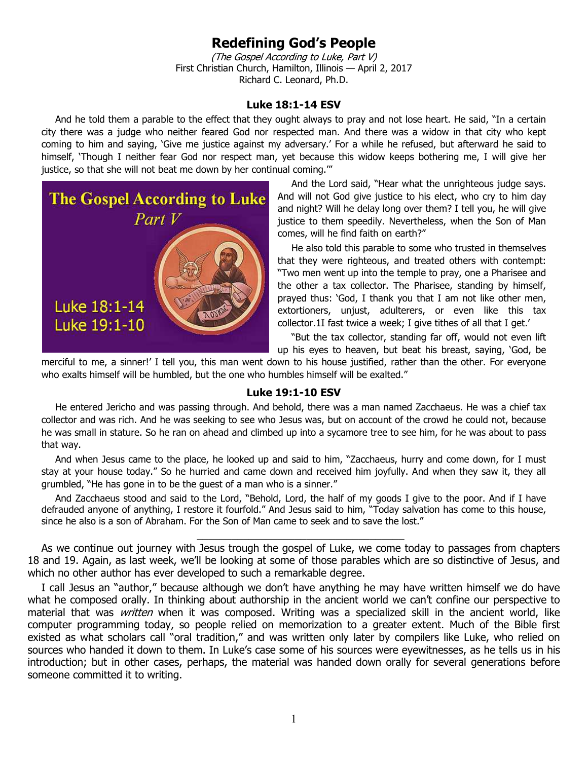## **Redefining God's People**

(The Gospel According to Luke, Part V) First Christian Church, Hamilton, Illinois — April 2, 2017 Richard C. Leonard, Ph.D.

## **Luke 18:1-14 ESV**

And he told them a parable to the effect that they ought always to pray and not lose heart. He said, "In a certain city there was a judge who neither feared God nor respected man. And there was a widow in that city who kept coming to him and saying, 'Give me justice against my adversary.' For a while he refused, but afterward he said to himself, 'Though I neither fear God nor respect man, yet because this widow keeps bothering me, I will give her justice, so that she will not beat me down by her continual coming.""



And the Lord said, "Hear what the unrighteous judge says. And will not God give justice to his elect, who cry to him day and night? Will he delay long over them? I tell you, he will give justice to them speedily. Nevertheless, when the Son of Man comes, will he find faith on earth?"

He also told this parable to some who trusted in themselves that they were righteous, and treated others with contempt: "Two men went up into the temple to pray, one a Pharisee and the other a tax collector. The Pharisee, standing by himself, prayed thus: 'God, I thank you that I am not like other men, extortioners, unjust, adulterers, or even like this tax collector.1I fast twice a week; I give tithes of all that I get.'

"But the tax collector, standing far off, would not even lift up his eyes to heaven, but beat his breast, saying, 'God, be

merciful to me, a sinner!' I tell you, this man went down to his house justified, rather than the other. For everyone who exalts himself will be humbled, but the one who humbles himself will be exalted."

## **Luke 19:1-10 ESV**

He entered Jericho and was passing through. And behold, there was a man named Zacchaeus. He was a chief tax collector and was rich. And he was seeking to see who Jesus was, but on account of the crowd he could not, because he was small in stature. So he ran on ahead and climbed up into a sycamore tree to see him, for he was about to pass that way.

And when Jesus came to the place, he looked up and said to him, "Zacchaeus, hurry and come down, for I must stay at your house today." So he hurried and came down and received him joyfully. And when they saw it, they all grumbled, "He has gone in to be the guest of a man who is a sinner."

And Zacchaeus stood and said to the Lord, "Behold, Lord, the half of my goods I give to the poor. And if I have defrauded anyone of anything, I restore it fourfold." And Jesus said to him, "Today salvation has come to this house, since he also is a son of Abraham. For the Son of Man came to seek and to save the lost."

As we continue out journey with Jesus trough the gospel of Luke, we come today to passages from chapters 18 and 19. Again, as last week, we'll be looking at some of those parables which are so distinctive of Jesus, and which no other author has ever developed to such a remarkable degree.

 $\frac{1}{2}$  ,  $\frac{1}{2}$  ,  $\frac{1}{2}$  ,  $\frac{1}{2}$  ,  $\frac{1}{2}$  ,  $\frac{1}{2}$  ,  $\frac{1}{2}$  ,  $\frac{1}{2}$  ,  $\frac{1}{2}$  ,  $\frac{1}{2}$  ,  $\frac{1}{2}$  ,  $\frac{1}{2}$  ,  $\frac{1}{2}$  ,  $\frac{1}{2}$  ,  $\frac{1}{2}$  ,  $\frac{1}{2}$  ,  $\frac{1}{2}$  ,  $\frac{1}{2}$  ,  $\frac{1$ 

I call Jesus an "author," because although we don't have anything he may have written himself we do have what he composed orally. In thinking about authorship in the ancient world we can't confine our perspective to material that was *written* when it was composed. Writing was a specialized skill in the ancient world, like computer programming today, so people relied on memorization to a greater extent. Much of the Bible first existed as what scholars call "oral tradition," and was written only later by compilers like Luke, who relied on sources who handed it down to them. In Luke's case some of his sources were eyewitnesses, as he tells us in his introduction; but in other cases, perhaps, the material was handed down orally for several generations before someone committed it to writing.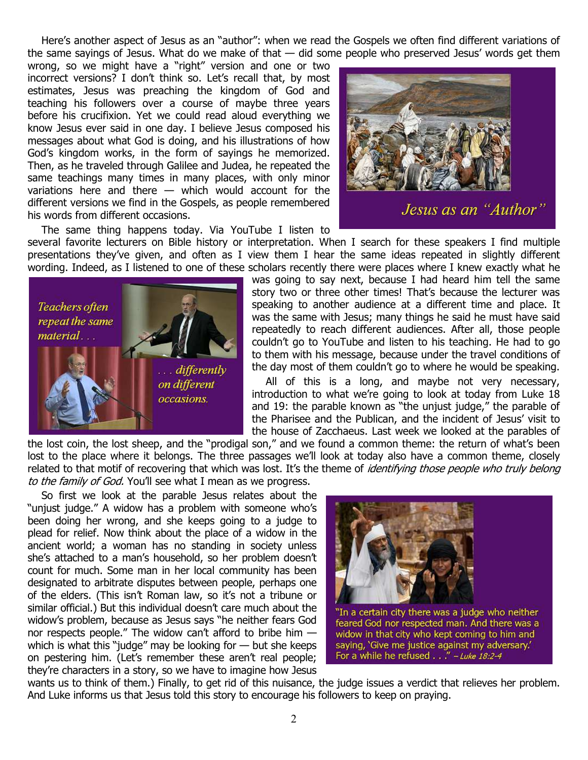Here's another aspect of Jesus as an "author": when we read the Gospels we often find different variations of the same sayings of Jesus. What do we make of that  $-$  did some people who preserved Jesus' words get them

wrong, so we might have a "right" version and one or two incorrect versions? I don't think so. Let's recall that, by most estimates, Jesus was preaching the kingdom of God and teaching his followers over a course of maybe three years before his crucifixion. Yet we could read aloud everything we know Jesus ever said in one day. I believe Jesus composed his messages about what God is doing, and his illustrations of how God's kingdom works, in the form of sayings he memorized. Then, as he traveled through Galilee and Judea, he repeated the same teachings many times in many places, with only minor variations here and there — which would account for the different versions we find in the Gospels, as people remembered his words from different occasions.



The same thing happens today. Via YouTube I listen to several favorite lecturers on Bible history or interpretation. When I search for these speakers I find multiple presentations they've given, and often as I view them I hear the same ideas repeated in slightly different wording. Indeed, as I listened to one of these scholars recently there were places where I knew exactly what he



was going to say next, because I had heard him tell the same story two or three other times! That's because the lecturer was speaking to another audience at a different time and place. It was the same with Jesus; many things he said he must have said repeatedly to reach different audiences. After all, those people couldn't go to YouTube and listen to his teaching. He had to go to them with his message, because under the travel conditions of the day most of them couldn't go to where he would be speaking.

All of this is a long, and maybe not very necessary, introduction to what we're going to look at today from Luke 18 and 19: the parable known as "the unjust judge," the parable of the Pharisee and the Publican, and the incident of Jesus' visit to the house of Zacchaeus. Last week we looked at the parables of

the lost coin, the lost sheep, and the "prodigal son," and we found a common theme: the return of what's been lost to the place where it belongs. The three passages we'll look at today also have a common theme, closely related to that motif of recovering that which was lost. It's the theme of *identifying those people who truly belong* to the family of God. You'll see what I mean as we progress.

So first we look at the parable Jesus relates about the "unjust judge." A widow has a problem with someone who's been doing her wrong, and she keeps going to a judge to plead for relief. Now think about the place of a widow in the ancient world; a woman has no standing in society unless she's attached to a man's household, so her problem doesn't count for much. Some man in her local community has been designated to arbitrate disputes between people, perhaps one of the elders. (This isn't Roman law, so it's not a tribune or similar official.) But this individual doesn't care much about the widow's problem, because as Jesus says "he neither fears God nor respects people." The widow can't afford to bribe him which is what this "judge" may be looking for  $-$  but she keeps on pestering him. (Let's remember these aren't real people; they're characters in a story, so we have to imagine how Jesus



widow in that city who kept coming to him and saying, 'Give me justice against my adversary.' For a while he refused . . ." - Luke 18:2-4

wants us to think of them.) Finally, to get rid of this nuisance, the judge issues a verdict that relieves her problem. And Luke informs us that Jesus told this story to encourage his followers to keep on praying.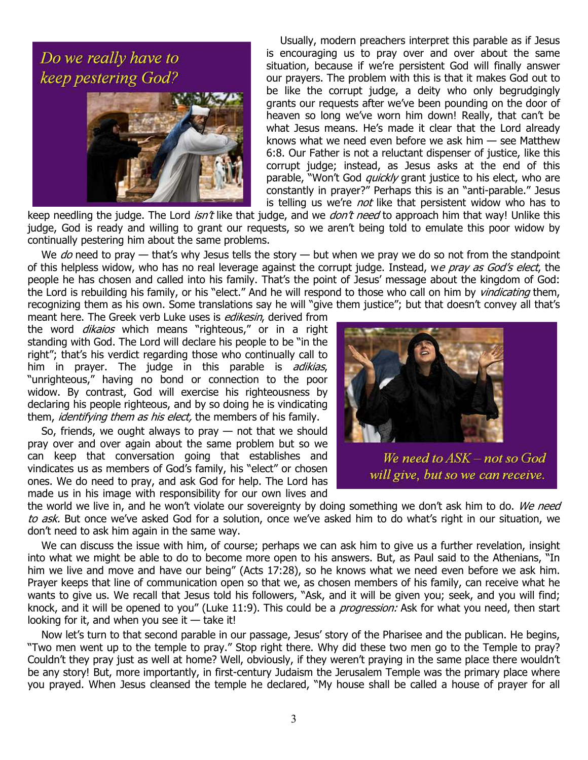## Do we really have to keep pestering God?



Usually, modern preachers interpret this parable as if Jesus is encouraging us to pray over and over about the same situation, because if we're persistent God will finally answer our prayers. The problem with this is that it makes God out to be like the corrupt judge, a deity who only begrudgingly grants our requests after we've been pounding on the door of heaven so long we've worn him down! Really, that can't be what Jesus means. He's made it clear that the Lord already knows what we need even before we ask him  $-$  see Matthew 6:8. Our Father is not a reluctant dispenser of justice, like this corrupt judge; instead, as Jesus asks at the end of this parable, "Won't God *quickly* grant justice to his elect, who are constantly in prayer?" Perhaps this is an "anti-parable." Jesus is telling us we're *not* like that persistent widow who has to

keep needling the judge. The Lord *isn't* like that judge, and we *don't need* to approach him that way! Unlike this judge, God is ready and willing to grant our requests, so we aren't being told to emulate this poor widow by continually pestering him about the same problems.

We do need to pray  $-$  that's why Jesus tells the story  $-$  but when we pray we do so not from the standpoint of this helpless widow, who has no real leverage against the corrupt judge. Instead, we pray as God's elect, the people he has chosen and called into his family. That's the point of Jesus' message about the kingdom of God: the Lord is rebuilding his family, or his "elect." And he will respond to those who call on him by *vindicating* them, recognizing them as his own. Some translations say he will "give them justice"; but that doesn't convey all that's

meant here. The Greek verb Luke uses is *edikesin*, derived from the word *dikaios* which means "righteous," or in a right standing with God. The Lord will declare his people to be "in the right"; that's his verdict regarding those who continually call to him in prayer. The judge in this parable is adikias, "unrighteous," having no bond or connection to the poor widow. By contrast, God will exercise his righteousness by declaring his people righteous, and by so doing he is vindicating them, *identifying them as his elect*, the members of his family.

So, friends, we ought always to pray  $-$  not that we should pray over and over again about the same problem but so we can keep that conversation going that establishes and vindicates us as members of God's family, his "elect" or chosen ones. We do need to pray, and ask God for help. The Lord has made us in his image with responsibility for our own lives and



We need to ASK - not so God will give, but so we can receive.

the world we live in, and he won't violate our sovereignty by doing something we don't ask him to do. We need to ask. But once we've asked God for a solution, once we've asked him to do what's right in our situation, we don't need to ask him again in the same way.

We can discuss the issue with him, of course; perhaps we can ask him to give us a further revelation, insight into what we might be able to do to become more open to his answers. But, as Paul said to the Athenians, "In him we live and move and have our being" (Acts 17:28), so he knows what we need even before we ask him. Prayer keeps that line of communication open so that we, as chosen members of his family, can receive what he wants to give us. We recall that Jesus told his followers, "Ask, and it will be given you; seek, and you will find; knock, and it will be opened to you" (Luke 11:9). This could be a *progression:* Ask for what you need, then start looking for it, and when you see it  $-$  take it!

Now let's turn to that second parable in our passage, Jesus' story of the Pharisee and the publican. He begins, "Two men went up to the temple to pray." Stop right there. Why did these two men go to the Temple to pray? Couldn't they pray just as well at home? Well, obviously, if they weren't praying in the same place there wouldn't be any story! But, more importantly, in first-century Judaism the Jerusalem Temple was the primary place where you prayed. When Jesus cleansed the temple he declared, "My house shall be called a house of prayer for all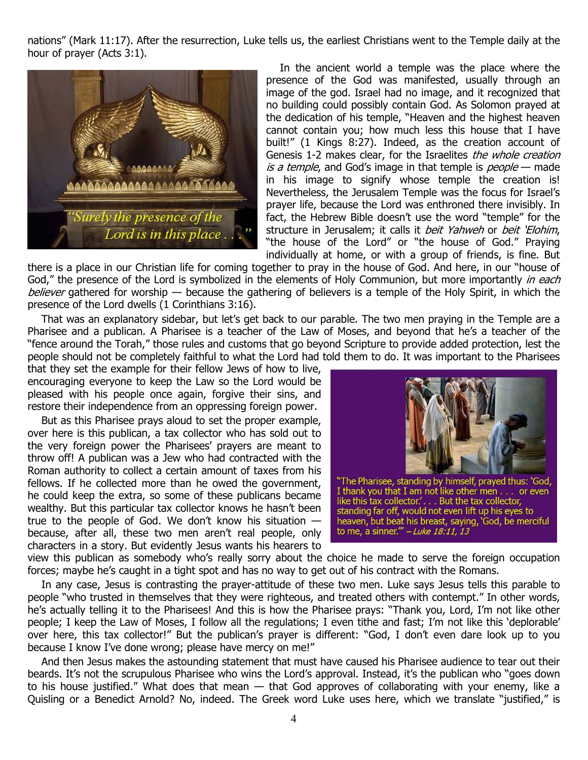nations" (Mark 11:17). After the resurrection, Luke tells us, the earliest Christians went to the Temple daily at the hour of prayer (Acts 3:1).



In the ancient world a temple was the place where the presence of the God was manifested, usually through an image of the god. Israel had no image, and it recognized that no building could possibly contain God. As Solomon prayed at the dedication of his temple, "Heaven and the highest heaven cannot contain you; how much less this house that I have built!" (1 Kings 8:27). Indeed, as the creation account of Genesis 1-2 makes clear, for the Israelites the whole creation is a temple, and God's image in that temple is people – made in his image to signify whose temple the creation is! Nevertheless, the Jerusalem Temple was the focus for Israel's prayer life, because the Lord was enthroned there invisibly. In fact, the Hebrew Bible doesn't use the word "temple" for the structure in Jerusalem; it calls it *beit Yahweh* or *beit 'Elohim*, "the house of the Lord" or "the house of God." Praying individually at home, or with a group of friends, is fine. But

there is a place in our Christian life for coming together to pray in the house of God. And here, in our "house of God," the presence of the Lord is symbolized in the elements of Holy Communion, but more importantly in each believer gathered for worship — because the gathering of believers is a temple of the Holy Spirit, in which the presence of the Lord dwells (1 Corinthians 3:16).

That was an explanatory sidebar, but let's get back to our parable. The two men praying in the Temple are a Pharisee and a publican. A Pharisee is a teacher of the Law of Moses, and beyond that he's a teacher of the "fence around the Torah," those rules and customs that go beyond Scripture to provide added protection, lest the people should not be completely faithful to what the Lord had told them to do. It was important to the Pharisees

that they set the example for their fellow Jews of how to live, encouraging everyone to keep the Law so the Lord would be pleased with his people once again, forgive their sins, and restore their independence from an oppressing foreign power.

But as this Pharisee prays aloud to set the proper example, over here is this publican, a tax collector who has sold out to the very foreign power the Pharisees' prayers are meant to throw off! A publican was a Jew who had contracted with the Roman authority to collect a certain amount of taxes from his fellows. If he collected more than he owed the government, he could keep the extra, so some of these publicans became wealthy. But this particular tax collector knows he hasn't been true to the people of God. We don't know his situation  $$ because, after all, these two men aren't real people, only characters in a story. But evidently Jesus wants his hearers to



"The Pharisee, standing by himself, prayed thus: 'God,<br>I thank you that I am, not like other men... or even like this tax collector.'... But the tax collector,<br>standing far off, would not even lift up his eyes to heaven, but beat his breast, saying, 'God, be merciful<br>to me, a sinner.'" – Luke 18:11, 13

view this publican as somebody who's really sorry about the choice he made to serve the foreign occupation forces; maybe he's caught in a tight spot and has no way to get out of his contract with the Romans.

In any case, Jesus is contrasting the prayer-attitude of these two men. Luke says Jesus tells this parable to people "who trusted in themselves that they were righteous, and treated others with contempt." In other words, he's actually telling it to the Pharisees! And this is how the Pharisee prays: "Thank you, Lord, I'm not like other people; I keep the Law of Moses, I follow all the regulations; I even tithe and fast; I'm not like this 'deplorable' over here, this tax collector!" But the publican's prayer is different: "God, I don't even dare look up to you because I know I've done wrong; please have mercy on me!"

And then Jesus makes the astounding statement that must have caused his Pharisee audience to tear out their beards. It's not the scrupulous Pharisee who wins the Lord's approval. Instead, it's the publican who "goes down to his house justified." What does that mean — that God approves of collaborating with your enemy, like a Quisling or a Benedict Arnold? No, indeed. The Greek word Luke uses here, which we translate "justified," is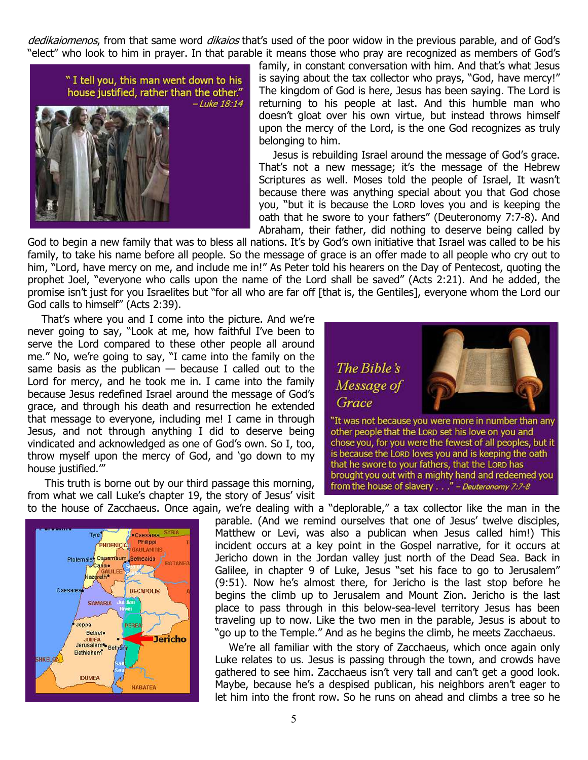dedikaiomenos, from that same word dikaios that's used of the poor widow in the previous parable, and of God's "elect" who look to him in prayer. In that parable it means those who pray are recognized as members of God's



family, in constant conversation with him. And that's what Jesus is saying about the tax collector who prays, "God, have mercy!" The kingdom of God is here, Jesus has been saying. The Lord is returning to his people at last. And this humble man who doesn't gloat over his own virtue, but instead throws himself upon the mercy of the Lord, is the one God recognizes as truly belonging to him.

Jesus is rebuilding Israel around the message of God's grace. That's not a new message; it's the message of the Hebrew Scriptures as well. Moses told the people of Israel, It wasn't because there was anything special about you that God chose you, "but it is because the LORD loves you and is keeping the oath that he swore to your fathers" (Deuteronomy 7:7-8). And Abraham, their father, did nothing to deserve being called by

God to begin a new family that was to bless all nations. It's by God's own initiative that Israel was called to be his family, to take his name before all people. So the message of grace is an offer made to all people who cry out to him, "Lord, have mercy on me, and include me in!" As Peter told his hearers on the Day of Pentecost, quoting the prophet Joel, "everyone who calls upon the name of the Lord shall be saved" (Acts 2:21). And he added, the promise isn't just for you Israelites but "for all who are far off [that is, the Gentiles], everyone whom the Lord our God calls to himself" (Acts 2:39).

That's where you and I come into the picture. And we're never going to say, "Look at me, how faithful I've been to serve the Lord compared to these other people all around me." No, we're going to say, "I came into the family on the same basis as the publican  $-$  because I called out to the Lord for mercy, and he took me in. I came into the family because Jesus redefined Israel around the message of God's grace, and through his death and resurrection he extended that message to everyone, including me! I came in through Jesus, and not through anything I did to deserve being vindicated and acknowledged as one of God's own. So I, too, throw myself upon the mercy of God, and 'go down to my house justified.'"

 This truth is borne out by our third passage this morning, from what we call Luke's chapter 19, the story of Jesus' visit to the house of Zacchaeus. Once again, we're dealing with a "deplorable," a tax collector like the man in the





parable. (And we remind ourselves that one of Jesus' twelve disciples, Matthew or Levi, was also a publican when Jesus called him!) This incident occurs at a key point in the Gospel narrative, for it occurs at Jericho down in the Jordan valley just north of the Dead Sea. Back in Galilee, in chapter 9 of Luke, Jesus "set his face to go to Jerusalem" (9:51). Now he's almost there, for Jericho is the last stop before he begins the climb up to Jerusalem and Mount Zion. Jericho is the last place to pass through in this below-sea-level territory Jesus has been traveling up to now. Like the two men in the parable, Jesus is about to "go up to the Temple." And as he begins the climb, he meets Zacchaeus.

We're all familiar with the story of Zacchaeus, which once again only Luke relates to us. Jesus is passing through the town, and crowds have gathered to see him. Zacchaeus isn't very tall and can't get a good look. Maybe, because he's a despised publican, his neighbors aren't eager to let him into the front row. So he runs on ahead and climbs a tree so he